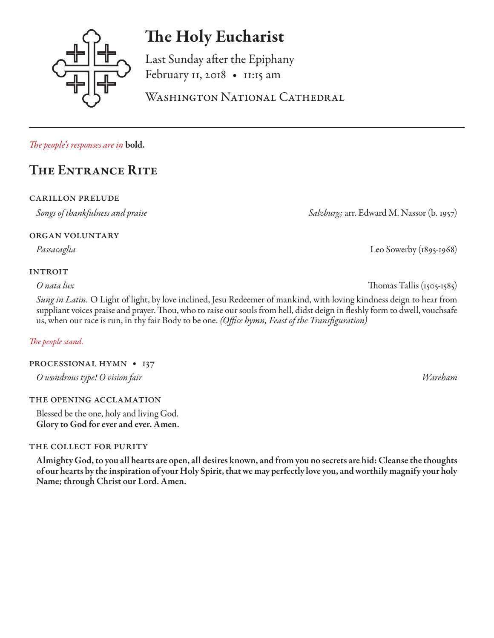

# The Holy Eucharist

Last Sunday after the Epiphany February 11, 2018 • 11:15 am

WASHINGTON NATIONAL CATHEDRAL

*The people's responses are in* bold.

# The Entrance Rite

# carillon prelude

organ voluntary

## **INTROIT**

*Sung in Latin.* O Light of light, by love inclined, Jesu Redeemer of mankind, with loving kindness deign to hear from suppliant voices praise and prayer. Thou, who to raise our souls from hell, didst deign in fleshly form to dwell, vouchsafe us, when our race is run, in thy fair Body to be one. *(Office hymn, Feast of the Transfiguration)*

*The people stand.*

## processional hymn • 137

*O wondrous type! O vision fair Wareham*

the opening acclamation

Blessed be the one, holy and living God. Glory to God for ever and ever. Amen.

# the collect for purity

Almighty God, to you all hearts are open, all desires known, and from you no secrets are hid: Cleanse the thoughts of our hearts by the inspiration of your Holy Spirit, that we may perfectly love you, and worthily magnify your holy Name; through Christ our Lord. Amen.

*Songs of thankfulness and praise Salzburg;* arr. Edward M. Nassor (b. 1957)

*Passacaglia* Leo Sowerby (1895-1968)

*O nata lux* Thomas Tallis (1505-1585)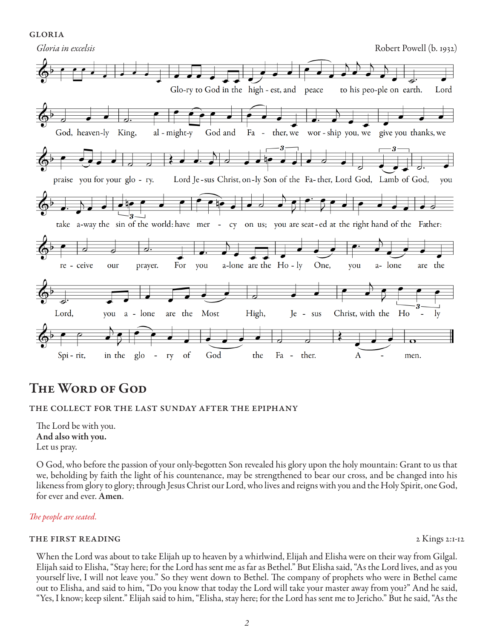gloria



# The Word of God

### the collect for the last sunday after the epiphany

The Lord be with you. And also with you. Let us pray.

O God, who before the passion of your only-begotten Son revealed his glory upon the holy mountain: Grant to us that we, beholding by faith the light of his countenance, may be strengthened to bear our cross, and be changed into his likeness from glory to glory; through Jesus Christ our Lord, who lives and reigns with you and the Holy Spirit, one God, for ever and ever. Amen.

### *The people are seated.*

### THE FIRST READING 2.1-12

When the Lord was about to take Elijah up to heaven by a whirlwind, Elijah and Elisha were on their way from Gilgal. Elijah said to Elisha, "Stay here; for the Lord has sent me as far as Bethel." But Elisha said, "As the Lord lives, and as you yourself live, I will not leave you." So they went down to Bethel. The company of prophets who were in Bethel came out to Elisha, and said to him, "Do you know that today the Lord will take your master away from you?" And he said, "Yes, I know; keep silent." Elijah said to him, "Elisha, stay here; for the Lord has sent me to Jericho." But he said, "As the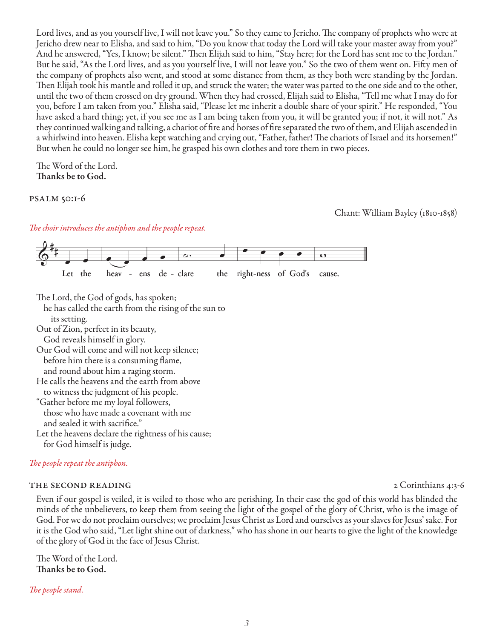Even if our gospel is veiled, it is veiled to those who are perishing. In their case the god of this world has blinded the minds of the unbelievers, to keep them from seeing the light of the gospel of the glory of Christ, who is the image of God. For we do not proclaim ourselves; we proclaim Jesus Christ as Lord and ourselves as your slaves for Jesus' sake. For it is the God who said, "Let light shine out of darkness," who has shone in our hearts to give the light of the knowledge

*3*

of the glory of God in the face of Jesus Christ.

The Word of the Lord. Thanks be to God.

*The people stand.*

Lord lives, and as you yourself live, I will not leave you." So they came to Jericho. The company of prophets who were at Jericho drew near to Elisha, and said to him, "Do you know that today the Lord will take your master away from you?" And he answered, "Yes, I know; be silent." Then Elijah said to him, "Stay here; for the Lord has sent me to the Jordan." But he said, "As the Lord lives, and as you yourself live, I will not leave you." So the two of them went on. Fifty men of the company of prophets also went, and stood at some distance from them, as they both were standing by the Jordan. Then Elijah took his mantle and rolled it up, and struck the water; the water was parted to the one side and to the other, until the two of them crossed on dry ground. When they had crossed, Elijah said to Elisha, "Tell me what I may do for you, before I am taken from you." Elisha said, "Please let me inherit a double share of your spirit." He responded, "You have asked a hard thing; yet, if you see me as I am being taken from you, it will be granted you; if not, it will not." As they continued walking and talking, a chariot of fire and horses of fire separated the two of them, and Elijah ascended in a whirlwind into heaven. Elisha kept watching and crying out, "Father, father! The chariots of Israel and its horsemen!" But when he could no longer see him, he grasped his own clothes and tore them in two pieces.

The Word of the Lord. Thanks be to God.

psalm 50:1-6

Chant: William Bayley (1810-1858)

*The choir introduces the antiphon and the people repeat.*



The Lord, the God of gods, has spoken;

- he has called the earth from the rising of the sun to
	- its setting.
- Out of Zion, perfect in its beauty,
- God reveals himself in glory. Our God will come and will not keep silence;

before him there is a consuming flame,

- and round about him a raging storm.
- He calls the heavens and the earth from above
- to witness the judgment of his people.
- "Gather before me my loyal followers, those who have made a covenant with me
	- and sealed it with sacrifice."
- Let the heavens declare the rightness of his cause; for God himself is judge.

*The people repeat the antiphon.*

# THE SECOND READING 2. Corinthians 4:3-6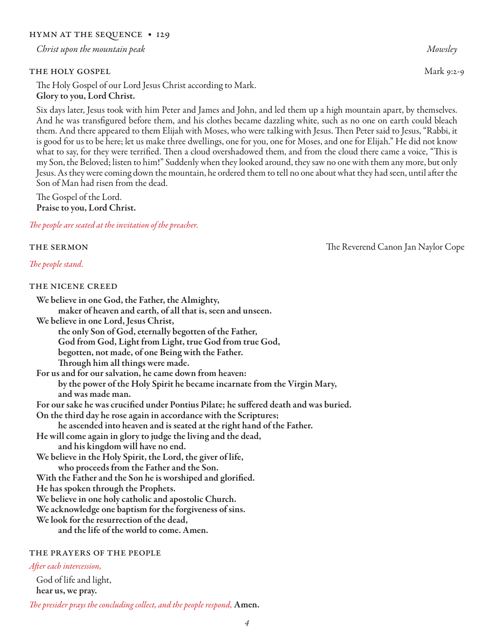#### hymn at the sequence • 129

*Christ upon the mountain peak Mowsley*

#### the holy gospel Mark 9:2-9

The Holy Gospel of our Lord Jesus Christ according to Mark. Glory to you, Lord Christ.

Six days later, Jesus took with him Peter and James and John, and led them up a high mountain apart, by themselves. And he was transfigured before them, and his clothes became dazzling white, such as no one on earth could bleach them. And there appeared to them Elijah with Moses, who were talking with Jesus. Then Peter said to Jesus, "Rabbi, it is good for us to be here; let us make three dwellings, one for you, one for Moses, and one for Elijah." He did not know what to say, for they were terrified. Then a cloud overshadowed them, and from the cloud there came a voice, "This is my Son, the Beloved; listen to him!" Suddenly when they looked around, they saw no one with them any more, but only Jesus. As they were coming down the mountain, he ordered them to tell no one about what they had seen, until after the Son of Man had risen from the dead.

The Gospel of the Lord. Praise to you, Lord Christ.

*The people are seated at the invitation of the preacher.*

#### *The people stand.*

#### the nicene creed

We believe in one God, the Father, the Almighty, maker of heaven and earth, of all that is, seen and unseen. We believe in one Lord, Jesus Christ, the only Son of God, eternally begotten of the Father, God from God, Light from Light, true God from true God, begotten, not made, of one Being with the Father. Through him all things were made. For us and for our salvation, he came down from heaven: by the power of the Holy Spirit he became incarnate from the Virgin Mary, and was made man. For our sake he was crucified under Pontius Pilate; he suffered death and was buried. On the third day he rose again in accordance with the Scriptures; he ascended into heaven and is seated at the right hand of the Father. He will come again in glory to judge the living and the dead, and his kingdom will have no end. We believe in the Holy Spirit, the Lord, the giver of life, who proceeds from the Father and the Son. With the Father and the Son he is worshiped and glorified. He has spoken through the Prophets. We believe in one holy catholic and apostolic Church. We acknowledge one baptism for the forgiveness of sins. We look for the resurrection of the dead, and the life of the world to come. Amen.

### the prayers of the people

#### *After each intercession,*

God of life and light, hear us, we pray.

*The presider prays the concluding collect, and the people respond,* Amen.

the sermon The Reverend Canon Jan Naylor Cope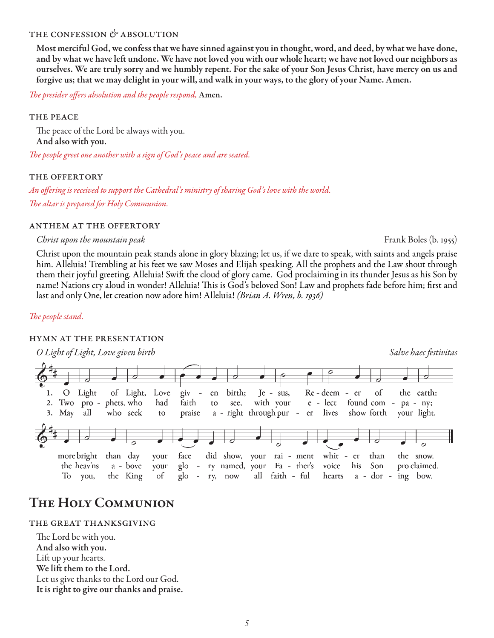# the confession *&* absolution

Most merciful God, we confess that we have sinned against you in thought, word, and deed, by what we have done, and by what we have left undone. We have not loved you with our whole heart; we have not loved our neighbors as ourselves. We are truly sorry and we humbly repent. For the sake of your Son Jesus Christ, have mercy on us and forgive us; that we may delight in your will, and walk in your ways, to the glory of your Name. Amen.

*The presider offers absolution and the people respond,* Amen.

#### the peace

The peace of the Lord be always with you. And also with you. *The people greet one another with a sign of God's peace and are seated.*

#### the offertory

*An offering is received to support the Cathedral's ministry of sharing God's love with the world. The altar is prepared for Holy Communion.*

#### anthem at the offertory

#### *Christ upon the mountain peak* Frank Boles (b. 1955)

Christ upon the mountain peak stands alone in glory blazing; let us, if we dare to speak, with saints and angels praise him. Alleluia! Trembling at his feet we saw Moses and Elijah speaking. All the prophets and the Law shout through them their joyful greeting. Alleluia! Swift the cloud of glory came. God proclaiming in its thunder Jesus as his Son by name! Nations cry aloud in wonder! Alleluia! This is God's beloved Son! Law and prophets fade before him; first and last and only One, let creation now adore him! Alleluia! *(Brian A. Wren, b. 1936)*

### *The people stand.*

#### hymn at the presentation



# The Holy Communion

### the great thanksgiving

The Lord be with you. And also with you. Lift up your hearts. We lift them to the Lord. Let us give thanks to the Lord our God. It is right to give our thanks and praise.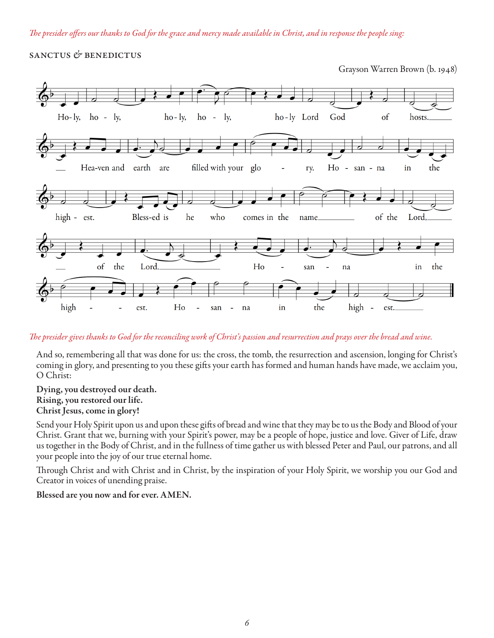*The presider offers our thanks to God for the grace and mercy made available in Christ, and in response the people sing:* 

# sanctus *&* benedictus

Grayson Warren Brown (b. 1948)



*The presider gives thanks to God for the reconciling work of Christ's passion and resurrection and prays over the bread and wine.*

And so, remembering all that was done for us: the cross, the tomb, the resurrection and ascension, longing for Christ's coming in glory, and presenting to you these gifts your earth has formed and human hands have made, we acclaim you, O Christ:

Dying, you destroyed our death. Rising, you restored our life. Christ Jesus, come in glory!

Send your Holy Spirit upon us and upon these gifts of bread and wine that they may be to us the Body and Blood of your Christ. Grant that we, burning with your Spirit's power, may be a people of hope, justice and love. Giver of Life, draw us together in the Body of Christ, and in the fullness of time gather us with blessed Peter and Paul, our patrons, and all your people into the joy of our true eternal home.

Through Christ and with Christ and in Christ, by the inspiration of your Holy Spirit, we worship you our God and Creator in voices of unending praise.

## Blessed are you now and for ever. AMEN.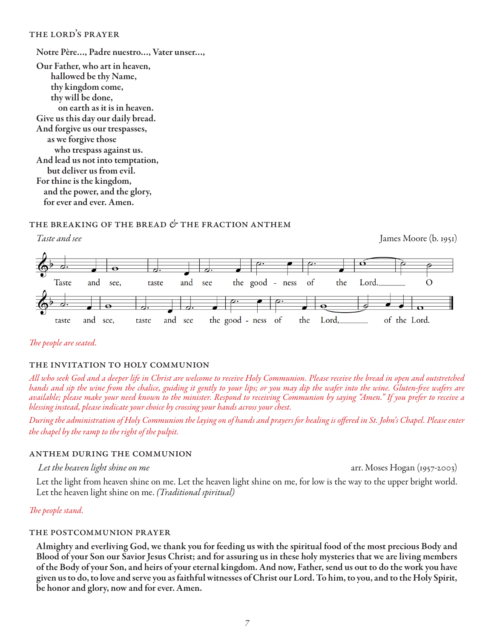#### the lord's prayer

Notre Père…, Padre nuestro…, Vater unser…,

Our Father, who art in heaven, hallowed be thy Name, thy kingdom come, thy will be done, on earth as it is in heaven. Give us this day our daily bread. And forgive us our trespasses, as we forgive those who trespass against us. And lead us not into temptation, but deliver us from evil. For thine is the kingdom, and the power, and the glory, for ever and ever. Amen.

# the breaking of the bread *&* the fraction anthem

*Taste and see* James Moore (b. 1951) Taste and see, taste and see the good  $\sim$ ness of the Lord.  $\Omega$ Lord, and see, and see the good - ness - of the of the Lord. taste taste

*The people are seated.*

### the invitation to holy communion

*All who seek God and a deeper life in Christ are welcome to receive Holy Communion. Please receive the bread in open and outstretched hands and sip the wine from the chalice, guiding it gently to your lips; or you may dip the wafer into the wine. Gluten-free wafers are available; please make your need known to the minister. Respond to receiving Communion by saying "Amen." If you prefer to receive a blessing instead, please indicate your choice by crossing your hands across your chest.* 

*During the administration of Holy Communion the laying on of hands and prayers for healing is offered in St. John's Chapel. Please enter the chapel by the ramp to the right of the pulpit.*

### anthem during the communion

#### *Let the heaven light shine on me* arr. Moses Hogan (1957-2003)

Let the light from heaven shine on me. Let the heaven light shine on me, for low is the way to the upper bright world. Let the heaven light shine on me. *(Traditional spiritual)*

### *The people stand.*

### the postcommunion prayer

Almighty and everliving God, we thank you for feeding us with the spiritual food of the most precious Body and Blood of your Son our Savior Jesus Christ; and for assuring us in these holy mysteries that we are living members of the Body of your Son, and heirs of your eternal kingdom. And now, Father, send us out to do the work you have given us to do, to love and serve you as faithful witnesses of Christ our Lord. To him, to you, and to the Holy Spirit, be honor and glory, now and for ever. Amen.